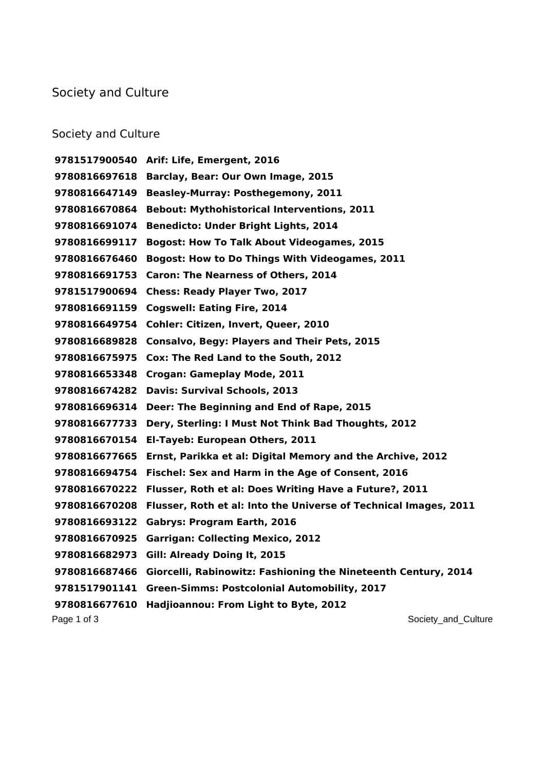## Society and Culture

## Society and Culture

Page 1 of 3 Society\_and\_Culture  $\sim$  Society\_and\_Culture  $\sim$  **Arif: Life, Emergent, 2016 Barclay, Bear: Our Own Image, 2015 Beasley-Murray: Posthegemony, 2011 Bebout: Mythohistorical Interventions, 2011 Benedicto: Under Bright Lights, 2014 Bogost: How To Talk About Videogames, 2015 Bogost: How to Do Things With Videogames, 2011 Caron: The Nearness of Others, 2014 Chess: Ready Player Two, 2017 Cogswell: Eating Fire, 2014 Cohler: Citizen, Invert, Queer, 2010 Consalvo, Begy: Players and Their Pets, 2015 Cox: The Red Land to the South, 2012 Crogan: Gameplay Mode, 2011 Davis: Survival Schools, 2013 Deer: The Beginning and End of Rape, 2015 Dery, Sterling: I Must Not Think Bad Thoughts, 2012 El-Tayeb: European Others, 2011 Ernst, Parikka et al: Digital Memory and the Archive, 2012 Fischel: Sex and Harm in the Age of Consent, 2016 Flusser, Roth et al: Does Writing Have a Future?, 2011 Flusser, Roth et al: Into the Universe of Technical Images, 2011 Gabrys: Program Earth, 2016 Garrigan: Collecting Mexico, 2012 Gill: Already Doing It, 2015 Giorcelli, Rabinowitz: Fashioning the Nineteenth Century, 2014 Green-Simms: Postcolonial Automobility, 2017 Hadjioannou: From Light to Byte, 2012**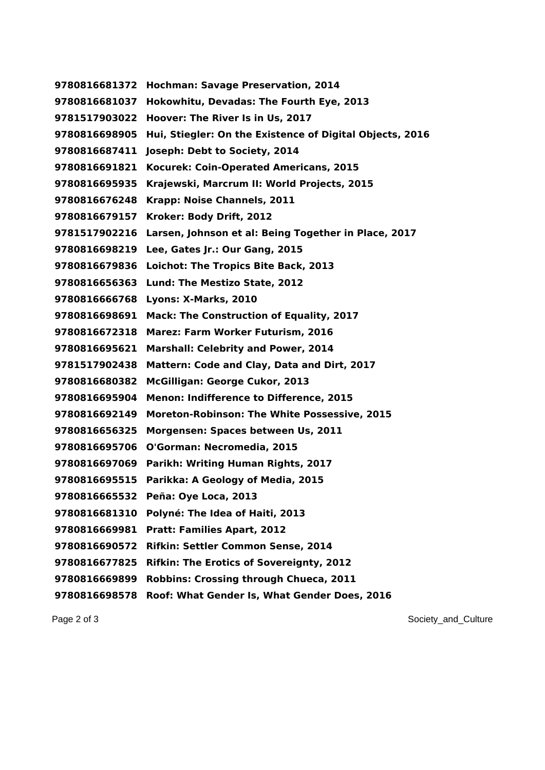**Hochman: Savage Preservation, 2014 Hokowhitu, Devadas: The Fourth Eye, 2013 Hoover: The River Is in Us, 2017 Hui, Stiegler: On the Existence of Digital Objects, 2016 Joseph: Debt to Society, 2014 Kocurek: Coin-Operated Americans, 2015 Krajewski, Marcrum II: World Projects, 2015 Krapp: Noise Channels, 2011 Kroker: Body Drift, 2012 Larsen, Johnson et al: Being Together in Place, 2017 Lee, Gates Jr.: Our Gang, 2015 Loichot: The Tropics Bite Back, 2013 Lund: The Mestizo State, 2012 Lyons: X-Marks, 2010 Mack: The Construction of Equality, 2017 Marez: Farm Worker Futurism, 2016 Marshall: Celebrity and Power, 2014 Mattern: Code and Clay, Data and Dirt, 2017 McGilligan: George Cukor, 2013 Menon: Indifference to Difference, 2015 Moreton-Robinson: The White Possessive, 2015 Morgensen: Spaces between Us, 2011 O'Gorman: Necromedia, 2015 Parikh: Writing Human Rights, 2017 Parikka: A Geology of Media, 2015 Peña: Oye Loca, 2013 Polyné: The Idea of Haiti, 2013 Pratt: Families Apart, 2012 Rifkin: Settler Common Sense, 2014 Rifkin: The Erotics of Sovereignty, 2012 Robbins: Crossing through Chueca, 2011 Roof: What Gender Is, What Gender Does, 2016**

Page 2 of 3 Society\_and\_Culture  $\sim$  Society\_and\_Culture  $\sim$